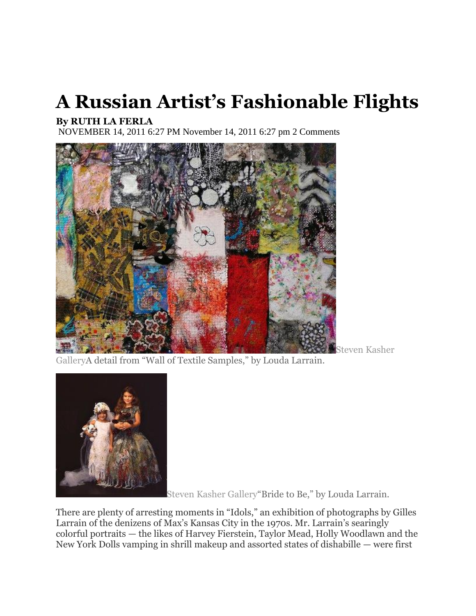## **A Russian Artist's Fashionable Flights**

## **By [RUTH LA FERLA](http://runway.blogs.nytimes.com/author/ruth-la-ferla/)**

NOVEMBER 14, 2011 6:27 PM November 14, 2011 6:27 pm 2 Comments



GalleryA detail from "Wall of Textile Samples," by Louda Larrain.



Steven Kasher Gallery"Bride to Be," by Louda Larrain.

There are plenty of arresting moments in "Idols," an exhibition of photographs by Gilles Larrain of the denizens of Max's Kansas City in the 1970s. Mr. Larrain's searingly colorful portraits — the likes of Harvey Fierstein, Taylor Mead, Holly Woodlawn and the New York Dolls vamping in shrill makeup and assorted states of dishabille — were first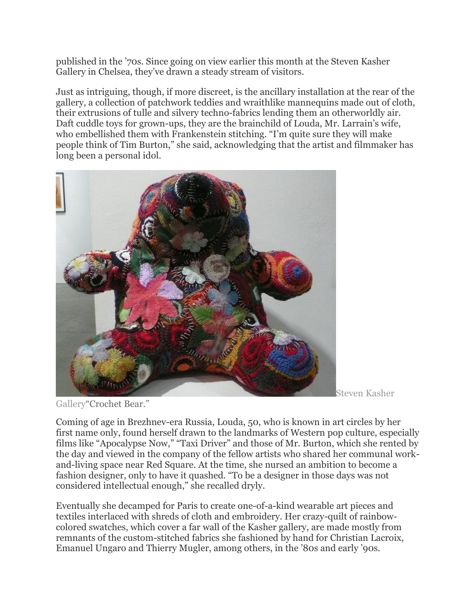published in the '70s. Since going on view earlier this month at the Steven Kasher Gallery in Chelsea, they've drawn a steady stream of visitors.

Just as intriguing, though, if more discreet, is the ancillary installation at the rear of the gallery, a collection of patchwork teddies and wraithlike mannequins made out of cloth, their extrusions of tulle and silvery techno-fabrics lending them an otherworldly air. Daft cuddle toys for grown-ups, they are the brainchild of Louda, Mr. Larrain's wife, who embellished them with Frankenstein stitching. "I'm quite sure they will make people think of Tim Burton," she said, acknowledging that the artist and filmmaker has long been a personal idol.



Steven Kasher

Gallery"Crochet Bear."

Coming of age in Brezhnev-era Russia, Louda, 50, who is known in art circles by her first name only, found herself drawn to the landmarks of Western pop culture, especially films like "Apocalypse Now," "Taxi Driver" and those of Mr. Burton, which she rented by the day and viewed in the company of the fellow artists who shared her communal workand-living space near Red Square. At the time, she nursed an ambition to become a fashion designer, only to have it quashed. "To be a designer in those days was not considered intellectual enough," she recalled dryly.

Eventually she decamped for Paris to create one-of-a-kind wearable art pieces and textiles interlaced with shreds of cloth and embroidery. Her crazy-quilt of rainbowcolored swatches, which cover a far wall of the Kasher gallery, are made mostly from remnants of the custom-stitched fabrics she fashioned by hand for Christian Lacroix, Emanuel Ungaro and Thierry Mugler, among others, in the '80s and early '90s.